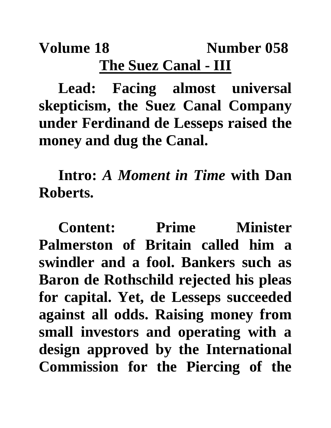## **Volume 18** Number 058 **The Suez Canal - III**

**Lead: Facing almost universal skepticism, the Suez Canal Company under Ferdinand de Lesseps raised the money and dug the Canal.**

**Intro:** *A Moment in Time* **with Dan Roberts.**

**Content: Prime Minister Palmerston of Britain called him a swindler and a fool. Bankers such as Baron de Rothschild rejected his pleas for capital. Yet, de Lesseps succeeded against all odds. Raising money from small investors and operating with a design approved by the International Commission for the Piercing of the**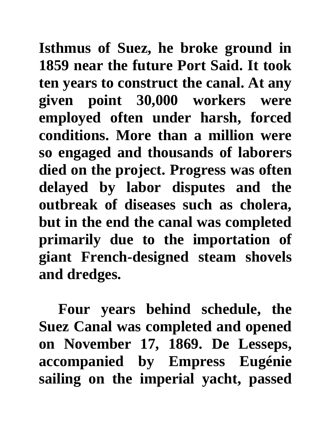**Isthmus of Suez, he broke ground in 1859 near the future Port Said. It took ten years to construct the canal. At any given point 30,000 workers were employed often under harsh, forced conditions. More than a million were so engaged and thousands of laborers died on the project. Progress was often delayed by labor disputes and the outbreak of diseases such as cholera, but in the end the canal was completed primarily due to the importation of giant French-designed steam shovels and dredges.** 

**Four years behind schedule, the Suez Canal was completed and opened on November 17, 1869. De Lesseps, accompanied by Empress Eugénie sailing on the imperial yacht, passed**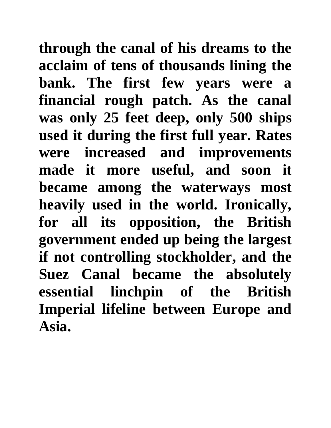**through the canal of his dreams to the acclaim of tens of thousands lining the bank. The first few years were a financial rough patch. As the canal was only 25 feet deep, only 500 ships used it during the first full year. Rates were increased and improvements made it more useful, and soon it became among the waterways most heavily used in the world. Ironically, for all its opposition, the British government ended up being the largest if not controlling stockholder, and the Suez Canal became the absolutely essential linchpin of the British Imperial lifeline between Europe and Asia.**